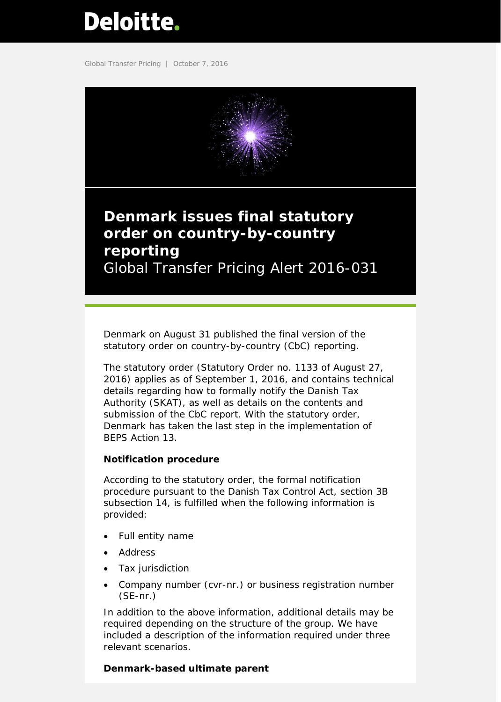# <span id="page-0-0"></span>Deloitte.

Global Transfer Pricing | October 7, 2016



## **Denmark issues final statutory order on country-by-country reporting** Global Transfer Pricing Alert 2016-031

Denmark on August 31 published the final version of the statutory order on country-by-country (CbC) reporting.

The statutory order (Statutory Order no. 1133 of August 27, 2016) applies as of September 1, 2016, and contains technical details regarding how to formally notify the Danish Tax Authority (SKAT), as well as details on the contents and submission of the CbC report. With the statutory order, Denmark has taken the last step in the implementation of BEPS Action 13.

#### **Notification procedure**

According to the statutory order, the formal notification procedure pursuant to the Danish Tax Control Act, section 3B subsection 14, is fulfilled when the following information is provided:

- Full entity name
- Address
- Tax jurisdiction
- Company number (cvr-nr.) or business registration number (SE-nr.)

In addition to the above information, additional details may be required depending on the structure of the group. We have included a description of the information required under three relevant scenarios.

### *Denmark-based ultimate parent*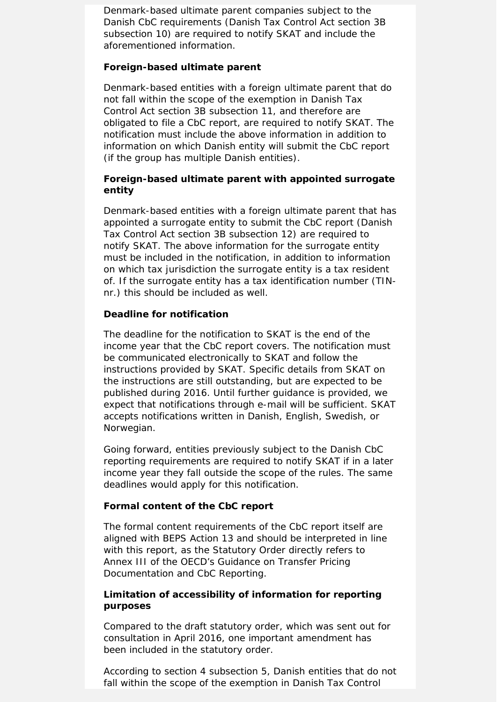Denmark-based ultimate parent companies subject to the Danish CbC requirements (Danish Tax Control Act section 3B subsection 10) are required to notify SKAT and include the aforementioned information.

#### *Foreign-based ultimate parent*

Denmark-based entities with a foreign ultimate parent that do not fall within the scope of the exemption in Danish Tax Control Act section 3B subsection 11, and therefore are obligated to file a CbC report, are required to notify SKAT. The notification must include the above information in addition to information on which Danish entity will submit the CbC report (if the group has multiple Danish entities).

#### *Foreign-based ultimate parent with appointed surrogate entity*

Denmark-based entities with a foreign ultimate parent that has appointed a surrogate entity to submit the CbC report (Danish Tax Control Act section 3B subsection 12) are required to notify SKAT. The above information for the surrogate entity must be included in the notification, in addition to information on which tax jurisdiction the surrogate entity is a tax resident of. If the surrogate entity has a tax identification number (TINnr.) this should be included as well.

#### *Deadline for notification*

The deadline for the notification to SKAT is the end of the income year that the CbC report covers. The notification must be communicated electronically to SKAT and follow the instructions provided by SKAT. Specific details from SKAT on the instructions are still outstanding, but are expected to be published during 2016. Until further guidance is provided, we expect that notifications through e-mail will be sufficient. SKAT accepts notifications written in Danish, English, Swedish, or Norwegian.

Going forward, entities previously subject to the Danish CbC reporting requirements are required to notify SKAT if in a later income year they fall outside the scope of the rules. The same deadlines would apply for this notification.

#### **Formal content of the CbC report**

The formal content requirements of the CbC report itself are aligned with BEPS Action 13 and should be interpreted in line with this report, as the Statutory Order directly refers to Annex III of the OECD's Guidance on Transfer Pricing Documentation and CbC Reporting.

#### **Limitation of accessibility of information for reporting purposes**

Compared to the draft statutory order, which was sent out for consultation in April 2016, one important amendment has been included in the statutory order.

According to section 4 subsection 5, Danish entities that do not fall within the scope of the exemption in Danish Tax Control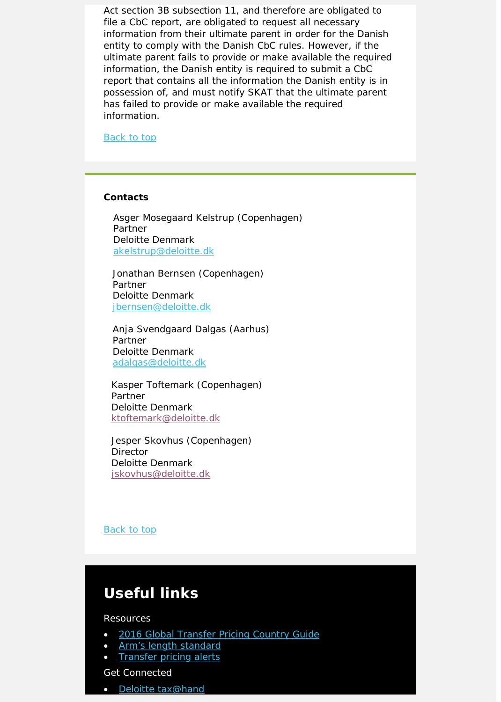Act section 3B subsection 11, and therefore are obligated to file a CbC report, are obligated to request all necessary information from their ultimate parent in order for the Danish entity to comply with the Danish CbC rules. However, if the ultimate parent fails to provide or make available the required information, the Danish entity is required to submit a CbC report that contains all the information the Danish entity is in possession of, and must notify SKAT that the ultimate parent has failed to provide or make available the required information.

Back to top

#### **Contacts**

 Asger Mosegaard Kelstrup (Copenhagen) Partner Deloitte Denmark [akelstrup@deloitte.dk](mailto:akelstrup@deloitte.dk)

Jonathan Bernsen (Copenhagen) Partner Deloitte Denmark [jbernsen@deloitte.dk](mailto:jbernsen@deloitte.dk)

Anja Svendgaard Dalgas (Aarhus) Partner Deloitte Denmark [adalgas@deloitte.dk](mailto:adalgas@deloitte.dk)

Kasper Toftemark (Copenhagen) Partner Deloitte Denmark [ktoftemark@deloitte.dk](mailto:ktoftemark@deloitte.dk)

Jesper Skovhus (Copenhagen) **Director** Deloitte Denmark [jskovhus@deloitte.dk](mailto:jskovhus@deloitte.dk)

#### Back to top

## **Useful links**

Resources

- [2016 Global Transfer Pricing Country Guide](https://www2.deloitte.com/us/en/pages/tax/articles/global-transfer-pricing-country-guide.html)
- [Arm's length standard](http://www2.deloitte.com/global/en/pages/tax/articles/arms-length-standard.html)
- [Transfer pricing alerts](http://www2.deloitte.com/global/en/pages/tax/articles/global-transfer-pricing-alerts.html)

Get Connected

• [Deloitte tax@hand](http://www2.deloitte.com/us/en/pages/tax/articles/deloitte-tax-at-hand-mobile-app.html)